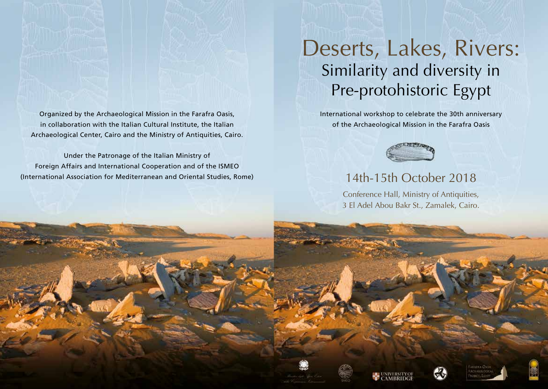Organized by the Archaeological Mission in the Farafra Oasis, in collaboration with the Italian Cultural Institute, the Italian Archaeological Center, Cairo and the Ministry of Antiquities, Cairo.

Under the Patronage of the Italian Ministry of Foreign Affairs and International Cooperation and of the ISMEO (International Association for Mediterranean and Oriental Studies, Rome)

## Deserts, Lakes, Rivers: Similarity and diversity in Pre-protohistoric Egypt

International workshop to celebrate the 30th anniversary of the Archaeological Mission in the Farafra Oasis



## 14th-15th October 2018

Conference Hall, Ministry of Antiquities, 3 El Adel Abou Bakr St., Zamalek, Cairo.